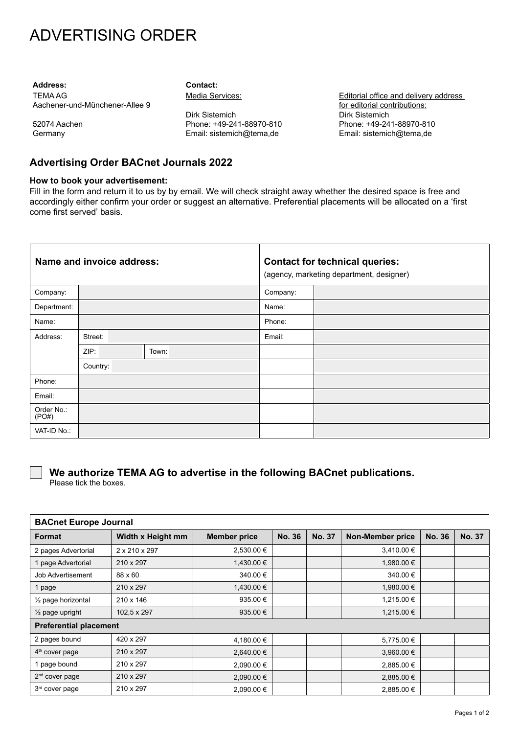# ADVERTISING ORDER

**Address: Contact:** TEMA AG Aachener-und-Münchener-Allee 9

52074 Aachen **Germany** 

Media Services:

Dirk Sistemich Phone: +49-241-88970-810 Email: sistemich@tema de

Editorial office and delivery address for editorial contributions: Dirk Sistemich Phone: +49-241-88970-810 Email: sistemich@tema de

## **Advertising Order BACnet Journals 2022**

### **How to book your advertisement:**

Fill in the form and return it to us by by email. We will check straight away whether the desired space is free and accordingly either confirm your order or suggest an alternative. Preferential placements will be allocated on a 'first come first served' basis.

| Name and invoice address: |          |       | <b>Contact for technical queries:</b><br>(agency, marketing department, designer) |  |  |
|---------------------------|----------|-------|-----------------------------------------------------------------------------------|--|--|
| Company:                  |          |       | Company:                                                                          |  |  |
| Department:               |          |       | Name:                                                                             |  |  |
| Name:                     |          |       | Phone:                                                                            |  |  |
| Address:                  | Street:  |       | Email:                                                                            |  |  |
|                           | ZIP:     | Town: |                                                                                   |  |  |
|                           | Country: |       |                                                                                   |  |  |
| Phone:                    |          |       |                                                                                   |  |  |
| Email:                    |          |       |                                                                                   |  |  |
| Order No.:<br>(PO#)       |          |       |                                                                                   |  |  |
| VAT-ID No.:               |          |       |                                                                                   |  |  |

## **We authorize TEMA AG to advertise in the following BACnet publications.**

Please tick the boxes.

| <b>BACnet Europe Journal</b>  |                   |                     |               |               |                         |               |               |  |  |
|-------------------------------|-------------------|---------------------|---------------|---------------|-------------------------|---------------|---------------|--|--|
| <b>Format</b>                 | Width x Height mm | <b>Member price</b> | <b>No. 36</b> | <b>No. 37</b> | <b>Non-Member price</b> | <b>No. 36</b> | <b>No. 37</b> |  |  |
| 2 pages Advertorial           | 2 x 210 x 297     | 2,530.00 €          |               |               | 3,410.00 €              |               |               |  |  |
| 1 page Advertorial            | 210 x 297         | 1,430.00 €          |               |               | 1,980.00 €              |               |               |  |  |
| Job Advertisement             | 88 x 60           | 340.00 €            |               |               | 340.00 €                |               |               |  |  |
| 1 page                        | 210 x 297         | 1,430.00 €          |               |               | 1,980.00 €              |               |               |  |  |
| $\frac{1}{2}$ page horizontal | 210 x 146         | 935.00 €            |               |               | 1,215.00 €              |               |               |  |  |
| $\frac{1}{2}$ page upright    | 102.5 x 297       | 935.00 $\epsilon$   |               |               | 1,215.00 €              |               |               |  |  |
| <b>Preferential placement</b> |                   |                     |               |               |                         |               |               |  |  |
| 2 pages bound                 | 420 x 297         | 4,180.00 €          |               |               | 5,775.00 €              |               |               |  |  |
| $4th$ cover page              | 210 x 297         | 2,640.00 €          |               |               | 3,960.00 €              |               |               |  |  |
| 1 page bound                  | 210 x 297         | 2,090.00 €          |               |               | 2,885.00 €              |               |               |  |  |
| $2nd$ cover page              | 210 x 297         | 2,090.00 €          |               |               | 2,885.00 €              |               |               |  |  |
| 3 <sup>rd</sup> cover page    | 210 x 297         | 2,090.00 €          |               |               | 2,885.00 €              |               |               |  |  |